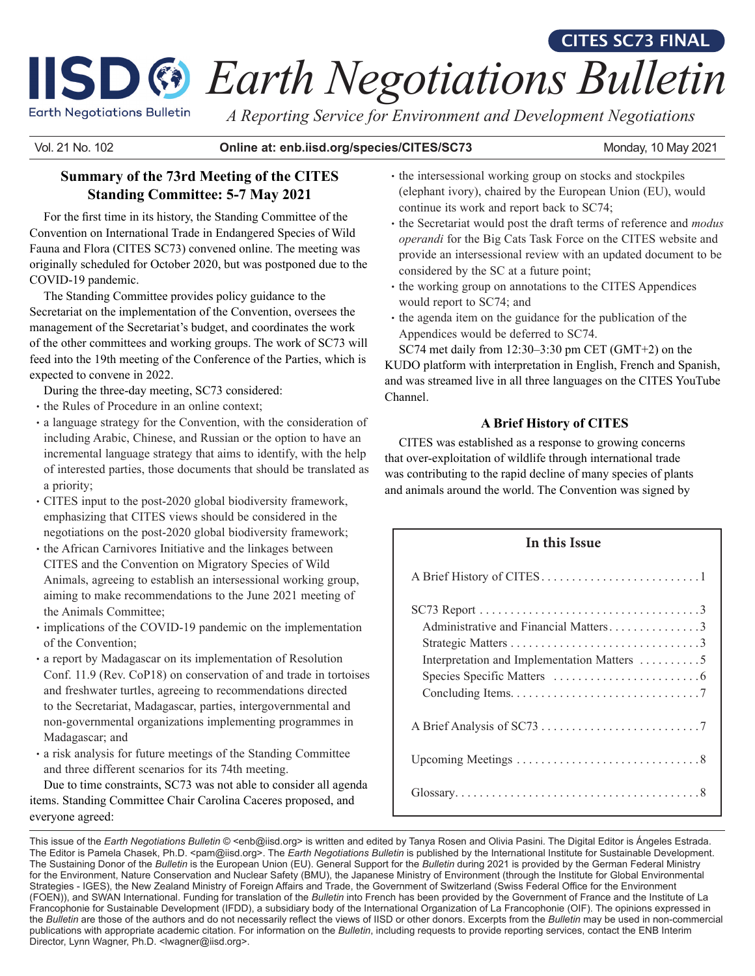# **ISD**  $\mathbb{F}$  Earth Negotiations Bulletin

**Earth Negotiations Bulletin** 

*A Reporting Service for Environment and Development Negotiations*

Vol. 21 No. 102 **Online at: enb.iisd.org/species/CITES/SC73**

Monday, 10 May 2021

**CITES SC73 FINAL**

# **Summary of the 73rd Meeting of the CITES Standing Committee: 5-7 May 2021**

For the first time in its history, the Standing Committee of the Convention on International Trade in Endangered Species of Wild Fauna and Flora (CITES SC73) convened online. The meeting was originally scheduled for October 2020, but was postponed due to the COVID-19 pandemic.

The Standing Committee provides policy guidance to the Secretariat on the implementation of the Convention, oversees the management of the Secretariat's budget, and coordinates the work of the other committees and working groups. The work of SC73 will feed into the 19th meeting of the Conference of the Parties, which is expected to convene in 2022.

During the three-day meeting, SC73 considered:

- the Rules of Procedure in an online context;
- •a language strategy for the Convention, with the consideration of including Arabic, Chinese, and Russian or the option to have an incremental language strategy that aims to identify, with the help of interested parties, those documents that should be translated as a priority;
- •CITES input to the post-2020 global biodiversity framework, emphasizing that CITES views should be considered in the negotiations on the post-2020 global biodiversity framework;
- •the African Carnivores Initiative and the linkages between CITES and the Convention on Migratory Species of Wild Animals, agreeing to establish an intersessional working group, aiming to make recommendations to the June 2021 meeting of the Animals Committee;
- implications of the COVID-19 pandemic on the implementation of the Convention;
- •a report by Madagascar on its implementation of Resolution Conf. 11.9 (Rev. CoP18) on conservation of and trade in tortoises and freshwater turtles, agreeing to recommendations directed to the Secretariat, Madagascar, parties, intergovernmental and non-governmental organizations implementing programmes in Madagascar; and
- •a risk analysis for future meetings of the Standing Committee and three different scenarios for its 74th meeting.

Due to time constraints, SC73 was not able to consider all agenda items. Standing Committee Chair Carolina Caceres proposed, and everyone agreed:

- the intersessional working group on stocks and stockpiles (elephant ivory), chaired by the European Union (EU), would continue its work and report back to SC74;
- the Secretariat would post the draft terms of reference and *modus operandi* for the Big Cats Task Force on the CITES website and provide an intersessional review with an updated document to be considered by the SC at a future point;
- the working group on annotations to the CITES Appendices would report to SC74; and
- the agenda item on the guidance for the publication of the Appendices would be deferred to SC74.

SC74 met daily from 12:30–3:30 pm CET (GMT+2) on the KUDO platform with interpretation in English, French and Spanish, and was streamed live in all three languages on the CITES YouTube Channel.

# **A Brief History of CITES**

CITES was established as a response to growing concerns that over-exploitation of wildlife through international trade was contributing to the rapid decline of many species of plants and animals around the world. The Convention was signed by

# **In this Issue**

| Administrative and Financial Matters3<br>Interpretation and Implementation Matters 5 |
|--------------------------------------------------------------------------------------|
|                                                                                      |
|                                                                                      |
|                                                                                      |

This issue of the *Earth Negotiations Bulletin* © <enb@iisd.org> is written and edited by Tanya Rosen and Olivia Pasini. The Digital Editor is Ángeles Estrada. The Editor is Pamela Chasek, Ph.D. <pam@iisd.org>. The *Earth Negotiations Bulletin* is published by the International Institute for Sustainable Development. The Sustaining Donor of the *Bulletin* is the European Union (EU). General Support for the *Bulletin* during 2021 is provided by the German Federal Ministry for the Environment, Nature Conservation and Nuclear Safety (BMU), the Japanese Ministry of Environment (through the Institute for Global Environmental Strategies - IGES), the New Zealand Ministry of Foreign Affairs and Trade, the Government of Switzerland (Swiss Federal Office for the Environment (FOEN)), and SWAN International. Funding for translation of the *Bulletin* into French has been provided by the Government of France and the Institute of La Francophonie for Sustainable Development (IFDD), a subsidiary body of the International Organization of La Francophonie (OIF). The opinions expressed in the *Bulletin* are those of the authors and do not necessarily reflect the views of IISD or other donors. Excerpts from the *Bulletin* may be used in non-commercial publications with appropriate academic citation. For information on the *Bulletin*, including requests to provide reporting services, contact the ENB Interim Director, Lynn Wagner, Ph.D. <lwagner@iisd.org>.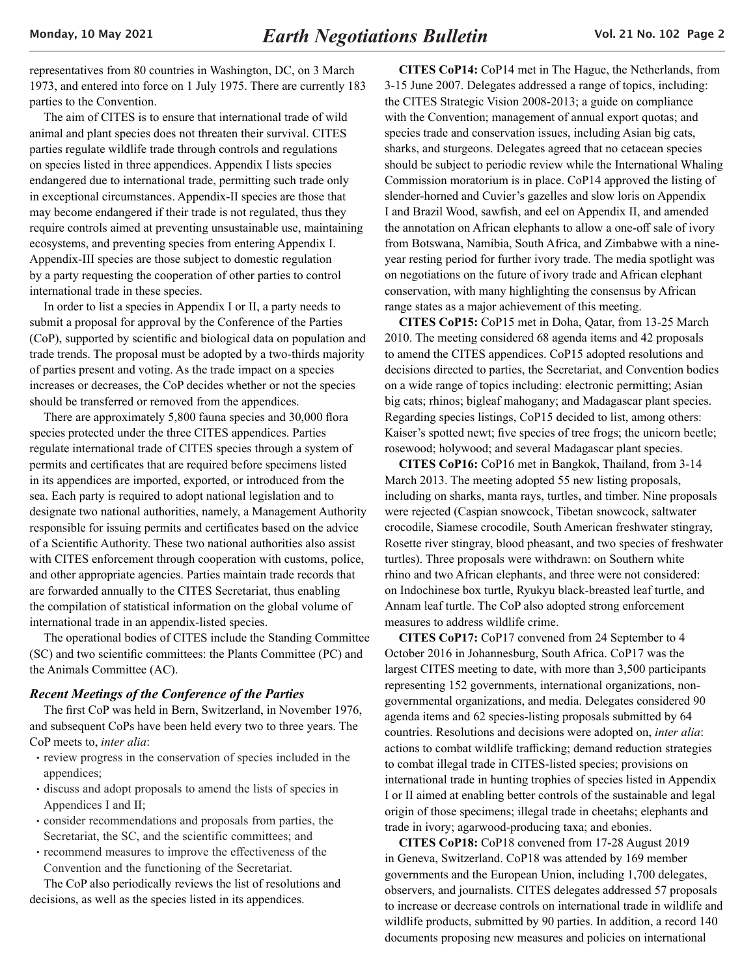representatives from 80 countries in Washington, DC, on 3 March 1973, and entered into force on 1 July 1975. There are currently 183 parties to the Convention.

The aim of CITES is to ensure that international trade of wild animal and plant species does not threaten their survival. CITES parties regulate wildlife trade through controls and regulations on species listed in three appendices. Appendix I lists species endangered due to international trade, permitting such trade only in exceptional circumstances. Appendix-II species are those that may become endangered if their trade is not regulated, thus they require controls aimed at preventing unsustainable use, maintaining ecosystems, and preventing species from entering Appendix I. Appendix-III species are those subject to domestic regulation by a party requesting the cooperation of other parties to control international trade in these species.

In order to list a species in Appendix I or II, a party needs to submit a proposal for approval by the Conference of the Parties (CoP), supported by scientific and biological data on population and trade trends. The proposal must be adopted by a two-thirds majority of parties present and voting. As the trade impact on a species increases or decreases, the CoP decides whether or not the species should be transferred or removed from the appendices.

There are approximately 5,800 fauna species and 30,000 flora species protected under the three CITES appendices. Parties regulate international trade of CITES species through a system of permits and certificates that are required before specimens listed in its appendices are imported, exported, or introduced from the sea. Each party is required to adopt national legislation and to designate two national authorities, namely, a Management Authority responsible for issuing permits and certificates based on the advice of a Scientific Authority. These two national authorities also assist with CITES enforcement through cooperation with customs, police, and other appropriate agencies. Parties maintain trade records that are forwarded annually to the CITES Secretariat, thus enabling the compilation of statistical information on the global volume of international trade in an appendix-listed species.

The operational bodies of CITES include the Standing Committee (SC) and two scientific committees: the Plants Committee (PC) and the Animals Committee (AC).

#### *Recent Meetings of the Conference of the Parties*

The first CoP was held in Bern, Switzerland, in November 1976, and subsequent CoPs have been held every two to three years. The CoP meets to, *inter alia*:

- •review progress in the conservation of species included in the appendices;
- •discuss and adopt proposals to amend the lists of species in Appendices I and II;
- •consider recommendations and proposals from parties, the Secretariat, the SC, and the scientific committees; and
- •recommend measures to improve the effectiveness of the Convention and the functioning of the Secretariat.

The CoP also periodically reviews the list of resolutions and decisions, as well as the species listed in its appendices.

**CITES CoP14:** CoP14 met in The Hague, the Netherlands, from 3-15 June 2007. Delegates addressed a range of topics, including: the CITES Strategic Vision 2008-2013; a guide on compliance with the Convention; management of annual export quotas; and species trade and conservation issues, including Asian big cats, sharks, and sturgeons. Delegates agreed that no cetacean species should be subject to periodic review while the International Whaling Commission moratorium is in place. CoP14 approved the listing of slender-horned and Cuvier's gazelles and slow loris on Appendix I and Brazil Wood, sawfish, and eel on Appendix II, and amended the annotation on African elephants to allow a one-off sale of ivory from Botswana, Namibia, South Africa, and Zimbabwe with a nineyear resting period for further ivory trade. The media spotlight was on negotiations on the future of ivory trade and African elephant conservation, with many highlighting the consensus by African range states as a major achievement of this meeting.

**CITES CoP15:** CoP15 met in Doha, Qatar, from 13-25 March 2010. The meeting considered 68 agenda items and 42 proposals to amend the CITES appendices. CoP15 adopted resolutions and decisions directed to parties, the Secretariat, and Convention bodies on a wide range of topics including: electronic permitting; Asian big cats; rhinos; bigleaf mahogany; and Madagascar plant species. Regarding species listings, CoP15 decided to list, among others: Kaiser's spotted newt; five species of tree frogs; the unicorn beetle; rosewood; holywood; and several Madagascar plant species.

**CITES CoP16:** CoP16 met in Bangkok, Thailand, from 3-14 March 2013. The meeting adopted 55 new listing proposals, including on sharks, manta rays, turtles, and timber. Nine proposals were rejected (Caspian snowcock, Tibetan snowcock, saltwater crocodile, Siamese crocodile, South American freshwater stingray, Rosette river stingray, blood pheasant, and two species of freshwater turtles). Three proposals were withdrawn: on Southern white rhino and two African elephants, and three were not considered: on Indochinese box turtle, Ryukyu black-breasted leaf turtle, and Annam leaf turtle. The CoP also adopted strong enforcement measures to address wildlife crime.

**CITES CoP17:** CoP17 convened from 24 September to 4 October 2016 in Johannesburg, South Africa. CoP17 was the largest CITES meeting to date, with more than 3,500 participants representing 152 governments, international organizations, nongovernmental organizations, and media. Delegates considered 90 agenda items and 62 species-listing proposals submitted by 64 countries. Resolutions and decisions were adopted on, *inter alia*: actions to combat wildlife trafficking; demand reduction strategies to combat illegal trade in CITES-listed species; provisions on international trade in hunting trophies of species listed in Appendix I or II aimed at enabling better controls of the sustainable and legal origin of those specimens; illegal trade in cheetahs; elephants and trade in ivory; agarwood-producing taxa; and ebonies.

**CITES CoP18:** CoP18 convened from 17-28 August 2019 in Geneva, Switzerland. CoP18 was attended by 169 member governments and the European Union, including 1,700 delegates, observers, and journalists. CITES delegates addressed 57 proposals to increase or decrease controls on international trade in wildlife and wildlife products, submitted by 90 parties. In addition, a record 140 documents proposing new measures and policies on international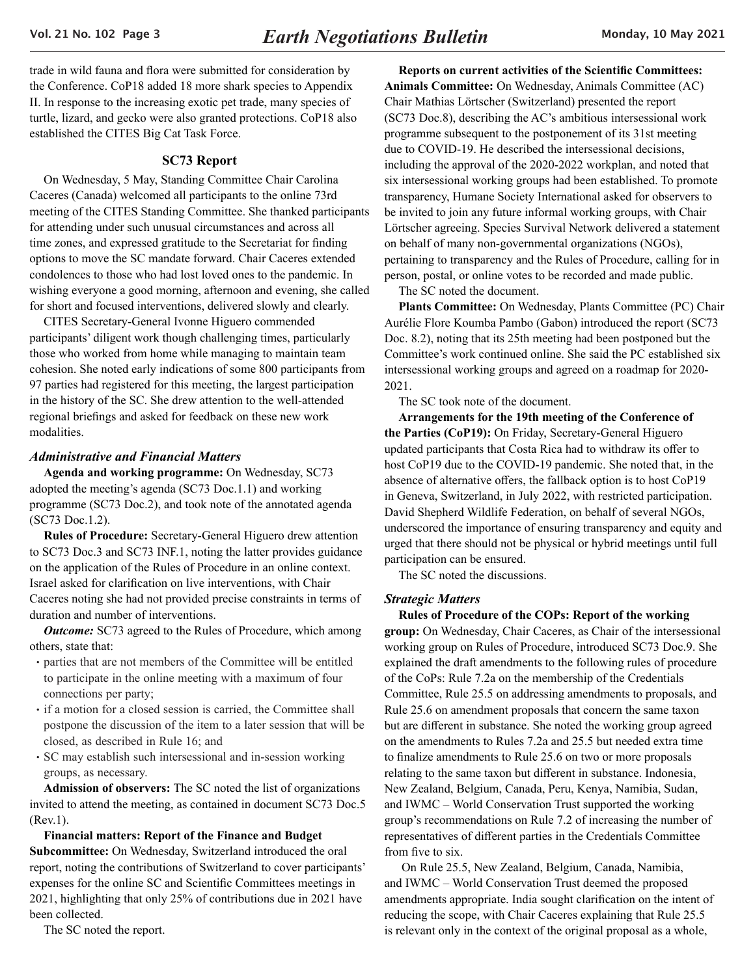<span id="page-2-0"></span>trade in wild fauna and flora were submitted for consideration by the Conference. CoP18 added 18 more shark species to Appendix II. In response to the increasing exotic pet trade, many species of turtle, lizard, and gecko were also granted protections. CoP18 also established the CITES Big Cat Task Force.

#### **SC73 Report**

On Wednesday, 5 May, Standing Committee Chair Carolina Caceres (Canada) welcomed all participants to the online 73rd meeting of the CITES Standing Committee. She thanked participants for attending under such unusual circumstances and across all time zones, and expressed gratitude to the Secretariat for finding options to move the SC mandate forward. Chair Caceres extended condolences to those who had lost loved ones to the pandemic. In wishing everyone a good morning, afternoon and evening, she called for short and focused interventions, delivered slowly and clearly.

CITES Secretary-General Ivonne Higuero commended participants' diligent work though challenging times, particularly those who worked from home while managing to maintain team cohesion. She noted early indications of some 800 participants from 97 parties had registered for this meeting, the largest participation in the history of the SC. She drew attention to the well-attended regional briefings and asked for feedback on these new work modalities.

## *Administrative and Financial Matters*

**Agenda and working programme:** On Wednesday, SC73 adopted the meeting's agenda (SC73 Doc.1.1) and working programme (SC73 Doc.2), and took note of the annotated agenda (SC73 Doc.1.2).

**Rules of Procedure:** Secretary-General Higuero drew attention to SC73 Doc.3 and SC73 INF.1, noting the latter provides guidance on the application of the Rules of Procedure in an online context. Israel asked for clarification on live interventions, with Chair Caceres noting she had not provided precise constraints in terms of duration and number of interventions.

**Outcome:** SC73 agreed to the Rules of Procedure, which among others, state that:

- •parties that are not members of the Committee will be entitled to participate in the online meeting with a maximum of four connections per party;
- •if a motion for a closed session is carried, the Committee shall postpone the discussion of the item to a later session that will be closed, as described in Rule 16; and
- •SC may establish such intersessional and in-session working groups, as necessary.

**Admission of observers:** The SC noted the list of organizations invited to attend the meeting, as contained in document SC73 Doc.5 (Rev.1).

**Financial matters: Report of the Finance and Budget Subcommittee:** On Wednesday, Switzerland introduced the oral report, noting the contributions of Switzerland to cover participants' expenses for the online SC and Scientific Committees meetings in 2021, highlighting that only 25% of contributions due in 2021 have been collected.

The SC noted the report.

**Reports on current activities of the Scientific Committees: Animals Committee:** On Wednesday, Animals Committee (AC) Chair Mathias Lörtscher (Switzerland) presented the report (SC73 Doc.8), describing the AC's ambitious intersessional work programme subsequent to the postponement of its 31st meeting due to COVID-19. He described the intersessional decisions, including the approval of the 2020-2022 workplan, and noted that six intersessional working groups had been established. To promote transparency, Humane Society International asked for observers to be invited to join any future informal working groups, with Chair Lörtscher agreeing. Species Survival Network delivered a statement on behalf of many non-governmental organizations (NGOs), pertaining to transparency and the Rules of Procedure, calling for in person, postal, or online votes to be recorded and made public.

The SC noted the document.

**Plants Committee:** On Wednesday, Plants Committee (PC) Chair Aurélie Flore Koumba Pambo (Gabon) introduced the report (SC73 Doc. 8.2), noting that its 25th meeting had been postponed but the Committee's work continued online. She said the PC established six intersessional working groups and agreed on a roadmap for 2020- 2021.

The SC took note of the document.

**Arrangements for the 19th meeting of the Conference of the Parties (CoP19):** On Friday, Secretary-General Higuero updated participants that Costa Rica had to withdraw its offer to host CoP19 due to the COVID-19 pandemic. She noted that, in the absence of alternative offers, the fallback option is to host CoP19 in Geneva, Switzerland, in July 2022, with restricted participation. David Shepherd Wildlife Federation, on behalf of several NGOs, underscored the importance of ensuring transparency and equity and urged that there should not be physical or hybrid meetings until full participation can be ensured.

The SC noted the discussions.

#### *Strategic Matters*

**Rules of Procedure of the COPs: Report of the working group:** On Wednesday, Chair Caceres, as Chair of the intersessional working group on Rules of Procedure, introduced SC73 Doc.9. She explained the draft amendments to the following rules of procedure of the CoPs: Rule 7.2a on the membership of the Credentials Committee, Rule 25.5 on addressing amendments to proposals, and Rule 25.6 on amendment proposals that concern the same taxon but are different in substance. She noted the working group agreed on the amendments to Rules 7.2a and 25.5 but needed extra time to finalize amendments to Rule 25.6 on two or more proposals relating to the same taxon but different in substance. Indonesia, New Zealand, Belgium, Canada, Peru, Kenya, Namibia, Sudan, and IWMC – World Conservation Trust supported the working group's recommendations on Rule 7.2 of increasing the number of representatives of different parties in the Credentials Committee from five to six.

 On Rule 25.5, New Zealand, Belgium, Canada, Namibia, and IWMC – World Conservation Trust deemed the proposed amendments appropriate. India sought clarification on the intent of reducing the scope, with Chair Caceres explaining that Rule 25.5 is relevant only in the context of the original proposal as a whole,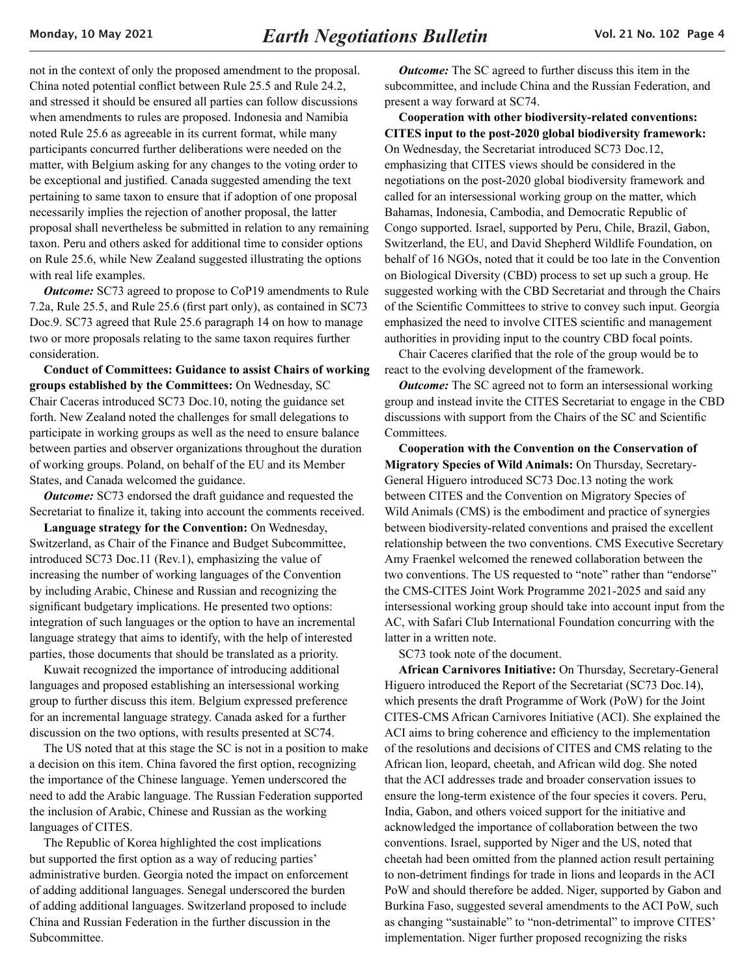not in the context of only the proposed amendment to the proposal. China noted potential conflict between Rule 25.5 and Rule 24.2, and stressed it should be ensured all parties can follow discussions when amendments to rules are proposed. Indonesia and Namibia noted Rule 25.6 as agreeable in its current format, while many participants concurred further deliberations were needed on the matter, with Belgium asking for any changes to the voting order to be exceptional and justified. Canada suggested amending the text pertaining to same taxon to ensure that if adoption of one proposal necessarily implies the rejection of another proposal, the latter proposal shall nevertheless be submitted in relation to any remaining taxon. Peru and others asked for additional time to consider options on Rule 25.6, while New Zealand suggested illustrating the options with real life examples.

*Outcome:* SC73 agreed to propose to CoP19 amendments to Rule 7.2a, Rule 25.5, and Rule 25.6 (first part only), as contained in SC73 Doc.9. SC73 agreed that Rule 25.6 paragraph 14 on how to manage two or more proposals relating to the same taxon requires further consideration.

**Conduct of Committees: Guidance to assist Chairs of working groups established by the Committees:** On Wednesday, SC Chair Caceras introduced SC73 Doc.10, noting the guidance set forth. New Zealand noted the challenges for small delegations to participate in working groups as well as the need to ensure balance between parties and observer organizations throughout the duration of working groups. Poland, on behalf of the EU and its Member States, and Canada welcomed the guidance.

*Outcome:* SC73 endorsed the draft guidance and requested the Secretariat to finalize it, taking into account the comments received.

**Language strategy for the Convention:** On Wednesday, Switzerland, as Chair of the Finance and Budget Subcommittee, introduced SC73 Doc.11 (Rev.1), emphasizing the value of increasing the number of working languages of the Convention by including Arabic, Chinese and Russian and recognizing the significant budgetary implications. He presented two options: integration of such languages or the option to have an incremental language strategy that aims to identify, with the help of interested parties, those documents that should be translated as a priority.

Kuwait recognized the importance of introducing additional languages and proposed establishing an intersessional working group to further discuss this item. Belgium expressed preference for an incremental language strategy. Canada asked for a further discussion on the two options, with results presented at SC74.

The US noted that at this stage the SC is not in a position to make a decision on this item. China favored the first option, recognizing the importance of the Chinese language. Yemen underscored the need to add the Arabic language. The Russian Federation supported the inclusion of Arabic, Chinese and Russian as the working languages of CITES.

The Republic of Korea highlighted the cost implications but supported the first option as a way of reducing parties' administrative burden. Georgia noted the impact on enforcement of adding additional languages. Senegal underscored the burden of adding additional languages. Switzerland proposed to include China and Russian Federation in the further discussion in the Subcommittee.

*Outcome:* The SC agreed to further discuss this item in the subcommittee, and include China and the Russian Federation, and present a way forward at SC74.

**Cooperation with other biodiversity-related conventions: CITES input to the post-2020 global biodiversity framework:**  On Wednesday, the Secretariat introduced SC73 Doc.12, emphasizing that CITES views should be considered in the negotiations on the post-2020 global biodiversity framework and called for an intersessional working group on the matter, which Bahamas, Indonesia, Cambodia, and Democratic Republic of Congo supported. Israel, supported by Peru, Chile, Brazil, Gabon, Switzerland, the EU, and David Shepherd Wildlife Foundation, on behalf of 16 NGOs, noted that it could be too late in the Convention on Biological Diversity (CBD) process to set up such a group. He suggested working with the CBD Secretariat and through the Chairs of the Scientific Committees to strive to convey such input. Georgia emphasized the need to involve CITES scientific and management authorities in providing input to the country CBD focal points.

Chair Caceres clarified that the role of the group would be to react to the evolving development of the framework.

*Outcome:* The SC agreed not to form an intersessional working group and instead invite the CITES Secretariat to engage in the CBD discussions with support from the Chairs of the SC and Scientific Committees.

**Cooperation with the Convention on the Conservation of Migratory Species of Wild Animals:** On Thursday, Secretary-General Higuero introduced SC73 Doc.13 noting the work between CITES and the Convention on Migratory Species of Wild Animals (CMS) is the embodiment and practice of synergies between biodiversity-related conventions and praised the excellent relationship between the two conventions. CMS Executive Secretary Amy Fraenkel welcomed the renewed collaboration between the two conventions. The US requested to "note" rather than "endorse" the CMS-CITES Joint Work Programme 2021-2025 and said any intersessional working group should take into account input from the AC, with Safari Club International Foundation concurring with the latter in a written note.

SC73 took note of the document.

**African Carnivores Initiative:** On Thursday, Secretary-General Higuero introduced the Report of the Secretariat (SC73 Doc.14), which presents the draft Programme of Work (PoW) for the Joint CITES-CMS African Carnivores Initiative (ACI). She explained the ACI aims to bring coherence and efficiency to the implementation of the resolutions and decisions of CITES and CMS relating to the African lion, leopard, cheetah, and African wild dog. She noted that the ACI addresses trade and broader conservation issues to ensure the long-term existence of the four species it covers. Peru, India, Gabon, and others voiced support for the initiative and acknowledged the importance of collaboration between the two conventions. Israel, supported by Niger and the US, noted that cheetah had been omitted from the planned action result pertaining to non-detriment findings for trade in lions and leopards in the ACI PoW and should therefore be added. Niger, supported by Gabon and Burkina Faso, suggested several amendments to the ACI PoW, such as changing "sustainable" to "non-detrimental" to improve CITES' implementation. Niger further proposed recognizing the risks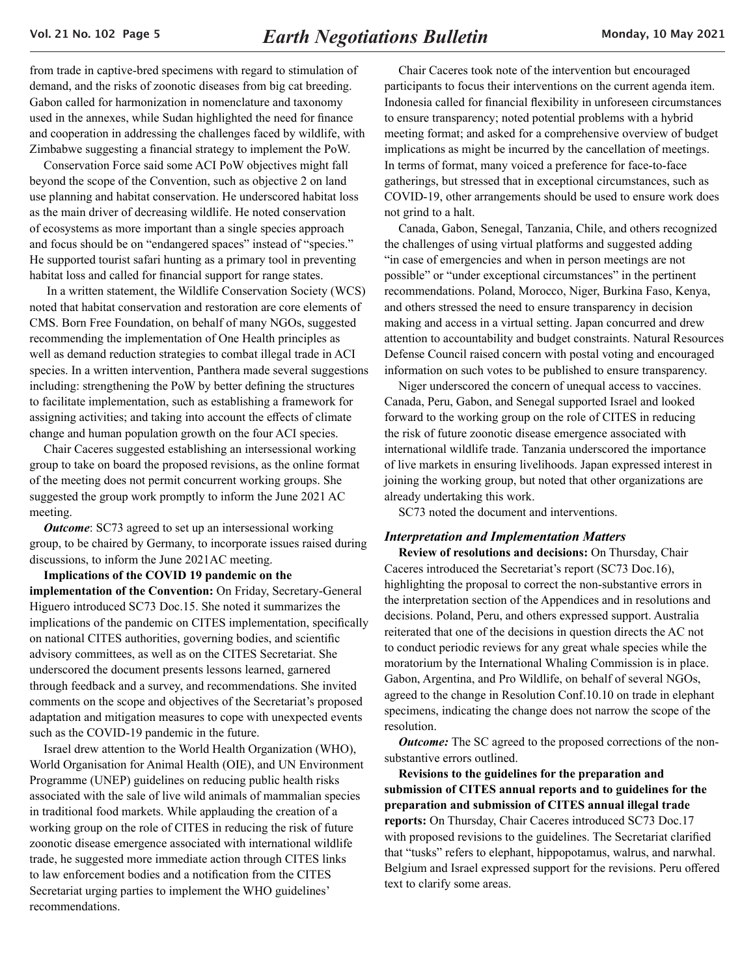<span id="page-4-0"></span>from trade in captive-bred specimens with regard to stimulation of demand, and the risks of zoonotic diseases from big cat breeding. Gabon called for harmonization in nomenclature and taxonomy used in the annexes, while Sudan highlighted the need for finance and cooperation in addressing the challenges faced by wildlife, with Zimbabwe suggesting a financial strategy to implement the PoW.

Conservation Force said some ACI PoW objectives might fall beyond the scope of the Convention, such as objective 2 on land use planning and habitat conservation. He underscored habitat loss as the main driver of decreasing wildlife. He noted conservation of ecosystems as more important than a single species approach and focus should be on "endangered spaces" instead of "species." He supported tourist safari hunting as a primary tool in preventing habitat loss and called for financial support for range states.

 In a written statement, the Wildlife Conservation Society (WCS) noted that habitat conservation and restoration are core elements of CMS. Born Free Foundation, on behalf of many NGOs, suggested recommending the implementation of One Health principles as well as demand reduction strategies to combat illegal trade in ACI species. In a written intervention, Panthera made several suggestions including: strengthening the PoW by better defining the structures to facilitate implementation, such as establishing a framework for assigning activities; and taking into account the effects of climate change and human population growth on the four ACI species.

Chair Caceres suggested establishing an intersessional working group to take on board the proposed revisions, as the online format of the meeting does not permit concurrent working groups. She suggested the group work promptly to inform the June 2021 AC meeting.

*Outcome*: SC73 agreed to set up an intersessional working group, to be chaired by Germany, to incorporate issues raised during discussions, to inform the June 2021AC meeting.

**Implications of the COVID 19 pandemic on the implementation of the Convention:** On Friday, Secretary-General Higuero introduced SC73 Doc.15. She noted it summarizes the implications of the pandemic on CITES implementation, specifically on national CITES authorities, governing bodies, and scientific advisory committees, as well as on the CITES Secretariat. She underscored the document presents lessons learned, garnered through feedback and a survey, and recommendations. She invited comments on the scope and objectives of the Secretariat's proposed adaptation and mitigation measures to cope with unexpected events such as the COVID-19 pandemic in the future.

Israel drew attention to the World Health Organization (WHO), World Organisation for Animal Health (OIE), and UN Environment Programme (UNEP) guidelines on reducing public health risks associated with the sale of live wild animals of mammalian species in traditional food markets. While applauding the creation of a working group on the role of CITES in reducing the risk of future zoonotic disease emergence associated with international wildlife trade, he suggested more immediate action through CITES links to law enforcement bodies and a notification from the CITES Secretariat urging parties to implement the WHO guidelines' recommendations.

Chair Caceres took note of the intervention but encouraged participants to focus their interventions on the current agenda item. Indonesia called for financial flexibility in unforeseen circumstances to ensure transparency; noted potential problems with a hybrid meeting format; and asked for a comprehensive overview of budget implications as might be incurred by the cancellation of meetings. In terms of format, many voiced a preference for face-to-face gatherings, but stressed that in exceptional circumstances, such as COVID-19, other arrangements should be used to ensure work does not grind to a halt.

Canada, Gabon, Senegal, Tanzania, Chile, and others recognized the challenges of using virtual platforms and suggested adding "in case of emergencies and when in person meetings are not possible" or "under exceptional circumstances" in the pertinent recommendations. Poland, Morocco, Niger, Burkina Faso, Kenya, and others stressed the need to ensure transparency in decision making and access in a virtual setting. Japan concurred and drew attention to accountability and budget constraints. Natural Resources Defense Council raised concern with postal voting and encouraged information on such votes to be published to ensure transparency.

Niger underscored the concern of unequal access to vaccines. Canada, Peru, Gabon, and Senegal supported Israel and looked forward to the working group on the role of CITES in reducing the risk of future zoonotic disease emergence associated with international wildlife trade. Tanzania underscored the importance of live markets in ensuring livelihoods. Japan expressed interest in joining the working group, but noted that other organizations are already undertaking this work.

SC73 noted the document and interventions.

#### *Interpretation and Implementation Matters*

**Review of resolutions and decisions:** On Thursday, Chair Caceres introduced the Secretariat's report (SC73 Doc.16), highlighting the proposal to correct the non-substantive errors in the interpretation section of the Appendices and in resolutions and decisions. Poland, Peru, and others expressed support. Australia reiterated that one of the decisions in question directs the AC not to conduct periodic reviews for any great whale species while the moratorium by the International Whaling Commission is in place. Gabon, Argentina, and Pro Wildlife, on behalf of several NGOs, agreed to the change in Resolution Conf.10.10 on trade in elephant specimens, indicating the change does not narrow the scope of the resolution.

*Outcome:* The SC agreed to the proposed corrections of the nonsubstantive errors outlined.

**Revisions to the guidelines for the preparation and submission of CITES annual reports and to guidelines for the preparation and submission of CITES annual illegal trade reports:** On Thursday, Chair Caceres introduced SC73 Doc.17 with proposed revisions to the guidelines. The Secretariat clarified that "tusks" refers to elephant, hippopotamus, walrus, and narwhal. Belgium and Israel expressed support for the revisions. Peru offered text to clarify some areas.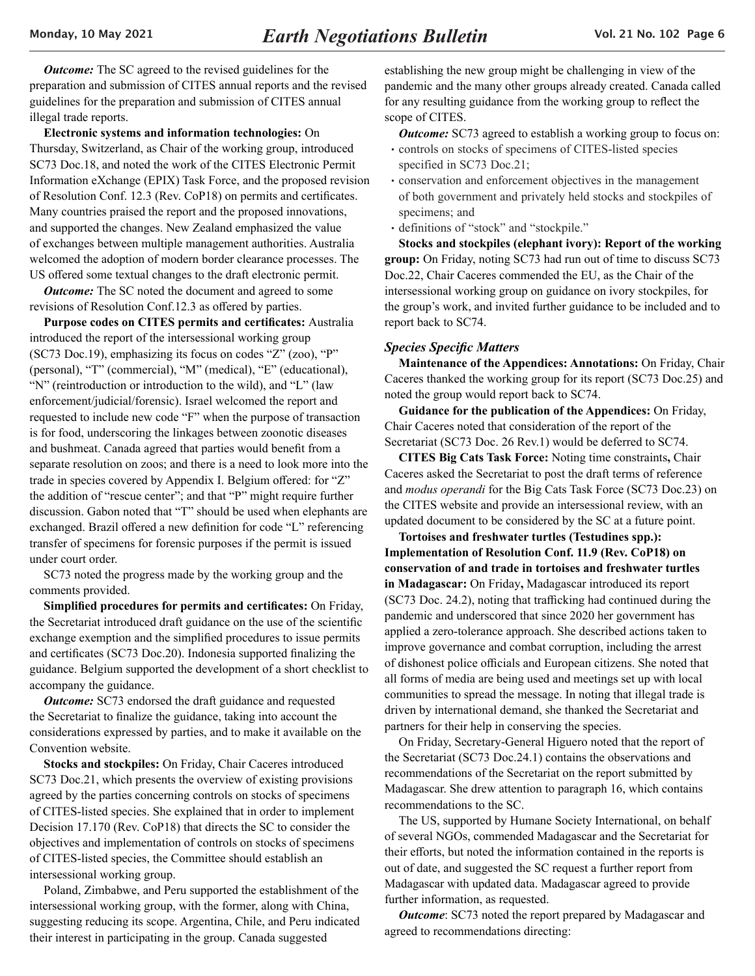<span id="page-5-0"></span>*Outcome:* The SC agreed to the revised guidelines for the preparation and submission of CITES annual reports and the revised guidelines for the preparation and submission of CITES annual illegal trade reports.

**Electronic systems and information technologies:** On Thursday, Switzerland, as Chair of the working group, introduced SC73 Doc.18, and noted the work of the CITES Electronic Permit Information eXchange (EPIX) Task Force, and the proposed revision of Resolution Conf. 12.3 (Rev. CoP18) on permits and certificates. Many countries praised the report and the proposed innovations, and supported the changes. New Zealand emphasized the value of exchanges between multiple management authorities. Australia welcomed the adoption of modern border clearance processes. The US offered some textual changes to the draft electronic permit.

*Outcome:* The SC noted the document and agreed to some revisions of Resolution Conf.12.3 as offered by parties.

**Purpose codes on CITES permits and certificates:** Australia introduced the report of the intersessional working group (SC73 Doc.19), emphasizing its focus on codes "Z" (zoo), "P" (personal), "T" (commercial), "M" (medical), "E" (educational), "N" (reintroduction or introduction to the wild), and "L" (law enforcement/judicial/forensic). Israel welcomed the report and requested to include new code "F" when the purpose of transaction is for food, underscoring the linkages between zoonotic diseases and bushmeat. Canada agreed that parties would benefit from a separate resolution on zoos; and there is a need to look more into the trade in species covered by Appendix I. Belgium offered: for "Z" the addition of "rescue center"; and that "P" might require further discussion. Gabon noted that "T" should be used when elephants are exchanged. Brazil offered a new definition for code "L" referencing transfer of specimens for forensic purposes if the permit is issued under court order.

SC73 noted the progress made by the working group and the comments provided.

**Simplified procedures for permits and certificates:** On Friday, the Secretariat introduced draft guidance on the use of the scientific exchange exemption and the simplified procedures to issue permits and certificates (SC73 Doc.20). Indonesia supported finalizing the guidance. Belgium supported the development of a short checklist to accompany the guidance.

*Outcome:* SC73 endorsed the draft guidance and requested the Secretariat to finalize the guidance, taking into account the considerations expressed by parties, and to make it available on the Convention website.

**Stocks and stockpiles:** On Friday, Chair Caceres introduced SC73 Doc.21, which presents the overview of existing provisions agreed by the parties concerning controls on stocks of specimens of CITES-listed species. She explained that in order to implement Decision 17.170 (Rev. CoP18) that directs the SC to consider the objectives and implementation of controls on stocks of specimens of CITES-listed species, the Committee should establish an intersessional working group.

Poland, Zimbabwe, and Peru supported the establishment of the intersessional working group, with the former, along with China, suggesting reducing its scope. Argentina, Chile, and Peru indicated their interest in participating in the group. Canada suggested

establishing the new group might be challenging in view of the pandemic and the many other groups already created. Canada called for any resulting guidance from the working group to reflect the scope of CITES.

*Outcome:* SC73 agreed to establish a working group to focus on:

- controls on stocks of specimens of CITES-listed species specified in SC73 Doc.21;
- conservation and enforcement objectives in the management of both government and privately held stocks and stockpiles of specimens; and
- definitions of "stock" and "stockpile."

**Stocks and stockpiles (elephant ivory): Report of the working group:** On Friday, noting SC73 had run out of time to discuss SC73 Doc.22, Chair Caceres commended the EU, as the Chair of the intersessional working group on guidance on ivory stockpiles, for the group's work, and invited further guidance to be included and to report back to SC74.

#### *Species Specific Matters*

**Maintenance of the Appendices: Annotations:** On Friday, Chair Caceres thanked the working group for its report (SC73 Doc.25) and noted the group would report back to SC74.

**Guidance for the publication of the Appendices:** On Friday, Chair Caceres noted that consideration of the report of the Secretariat (SC73 Doc. 26 Rev.1) would be deferred to SC74.

**CITES Big Cats Task Force:** Noting time constraints**,** Chair Caceres asked the Secretariat to post the draft terms of reference and *modus operandi* for the Big Cats Task Force (SC73 Doc.23) on the CITES website and provide an intersessional review, with an updated document to be considered by the SC at a future point.

**Tortoises and freshwater turtles (Testudines spp.): Implementation of Resolution Conf. 11.9 (Rev. CoP18) on conservation of and trade in tortoises and freshwater turtles in Madagascar:** On Friday**,** Madagascar introduced its report (SC73 Doc. 24.2), noting that trafficking had continued during the pandemic and underscored that since 2020 her government has applied a zero-tolerance approach. She described actions taken to improve governance and combat corruption, including the arrest of dishonest police officials and European citizens. She noted that all forms of media are being used and meetings set up with local communities to spread the message. In noting that illegal trade is driven by international demand, she thanked the Secretariat and partners for their help in conserving the species.

On Friday, Secretary-General Higuero noted that the report of the Secretariat (SC73 Doc.24.1) contains the observations and recommendations of the Secretariat on the report submitted by Madagascar. She drew attention to paragraph 16, which contains recommendations to the SC.

The US, supported by Humane Society International, on behalf of several NGOs, commended Madagascar and the Secretariat for their efforts, but noted the information contained in the reports is out of date, and suggested the SC request a further report from Madagascar with updated data. Madagascar agreed to provide further information, as requested.

*Outcome*: SC73 noted the report prepared by Madagascar and agreed to recommendations directing: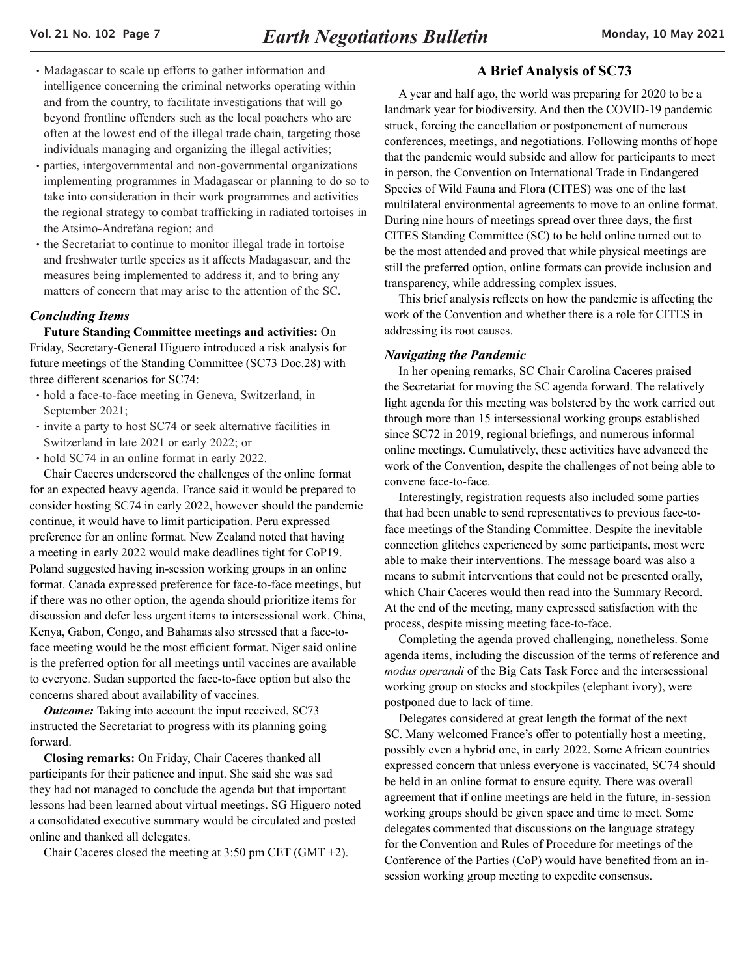- <span id="page-6-0"></span>• Madagascar to scale up efforts to gather information and intelligence concerning the criminal networks operating within and from the country, to facilitate investigations that will go beyond frontline offenders such as the local poachers who are often at the lowest end of the illegal trade chain, targeting those individuals managing and organizing the illegal activities;
- •parties, intergovernmental and non-governmental organizations implementing programmes in Madagascar or planning to do so to take into consideration in their work programmes and activities the regional strategy to combat trafficking in radiated tortoises in the Atsimo-Andrefana region; and
- the Secretariat to continue to monitor illegal trade in tortoise and freshwater turtle species as it affects Madagascar, and the measures being implemented to address it, and to bring any matters of concern that may arise to the attention of the SC.

# *Concluding Items*

**Future Standing Committee meetings and activities:** On Friday, Secretary-General Higuero introduced a risk analysis for future meetings of the Standing Committee (SC73 Doc.28) with three different scenarios for SC74:

- •hold a face-to-face meeting in Geneva, Switzerland, in September 2021;
- •invite a party to host SC74 or seek alternative facilities in Switzerland in late 2021 or early 2022; or
- hold SC74 in an online format in early 2022.

Chair Caceres underscored the challenges of the online format for an expected heavy agenda. France said it would be prepared to consider hosting SC74 in early 2022, however should the pandemic continue, it would have to limit participation. Peru expressed preference for an online format. New Zealand noted that having a meeting in early 2022 would make deadlines tight for CoP19. Poland suggested having in-session working groups in an online format. Canada expressed preference for face-to-face meetings, but if there was no other option, the agenda should prioritize items for discussion and defer less urgent items to intersessional work. China, Kenya, Gabon, Congo, and Bahamas also stressed that a face-toface meeting would be the most efficient format. Niger said online is the preferred option for all meetings until vaccines are available to everyone. Sudan supported the face-to-face option but also the concerns shared about availability of vaccines.

**Outcome:** Taking into account the input received, SC73 instructed the Secretariat to progress with its planning going forward.

**Closing remarks:** On Friday, Chair Caceres thanked all participants for their patience and input. She said she was sad they had not managed to conclude the agenda but that important lessons had been learned about virtual meetings. SG Higuero noted a consolidated executive summary would be circulated and posted online and thanked all delegates.

Chair Caceres closed the meeting at 3:50 pm CET (GMT +2).

# **A Brief Analysis of SC73**

A year and half ago, the world was preparing for 2020 to be a landmark year for biodiversity. And then the COVID-19 pandemic struck, forcing the cancellation or postponement of numerous conferences, meetings, and negotiations. Following months of hope that the pandemic would subside and allow for participants to meet in person, the Convention on International Trade in Endangered Species of Wild Fauna and Flora (CITES) was one of the last multilateral environmental agreements to move to an online format. During nine hours of meetings spread over three days, the first CITES Standing Committee (SC) to be held online turned out to be the most attended and proved that while physical meetings are still the preferred option, online formats can provide inclusion and transparency, while addressing complex issues.

This brief analysis reflects on how the pandemic is affecting the work of the Convention and whether there is a role for CITES in addressing its root causes.

## *Navigating the Pandemic*

In her opening remarks, SC Chair Carolina Caceres praised the Secretariat for moving the SC agenda forward. The relatively light agenda for this meeting was bolstered by the work carried out through more than 15 intersessional working groups established since SC72 in 2019, regional briefings, and numerous informal online meetings. Cumulatively, these activities have advanced the work of the Convention, despite the challenges of not being able to convene face-to-face.

Interestingly, registration requests also included some parties that had been unable to send representatives to previous face-toface meetings of the Standing Committee. Despite the inevitable connection glitches experienced by some participants, most were able to make their interventions. The message board was also a means to submit interventions that could not be presented orally, which Chair Caceres would then read into the Summary Record. At the end of the meeting, many expressed satisfaction with the process, despite missing meeting face-to-face.

Completing the agenda proved challenging, nonetheless. Some agenda items, including the discussion of the terms of reference and *modus operandi* of the Big Cats Task Force and the intersessional working group on stocks and stockpiles (elephant ivory), were postponed due to lack of time.

Delegates considered at great length the format of the next SC. Many welcomed France's offer to potentially host a meeting, possibly even a hybrid one, in early 2022. Some African countries expressed concern that unless everyone is vaccinated, SC74 should be held in an online format to ensure equity. There was overall agreement that if online meetings are held in the future, in-session working groups should be given space and time to meet. Some delegates commented that discussions on the language strategy for the Convention and Rules of Procedure for meetings of the Conference of the Parties (CoP) would have benefited from an insession working group meeting to expedite consensus.